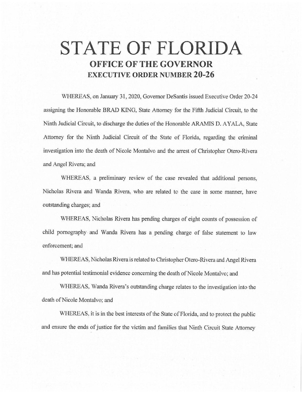## **STATE OF FLORIDA OFFICE OF THE GOVERNOR EXECUTIVE ORDER NUMBER 20-26**

WHEREAS, on January 31, 2020, Governor DeSantis issued Executive Order 20-24 assigning the Honorable BRAD KING, State Attorney for the Fifth Judicial Circuit, to the Ninth Judicial Circuit, to discharge the duties of the Honorable ARAMIS D. AYALA, State Attorney for the Ninth Judicial Circuit of the State of Fiorida, regarding the criminal investigation into the death of Nicole Montalvo and the arrest of Christopher Otero-Rivera and Angel Rivera; and

WHEREAS, a preliminary review of the case revealed that additional persons, Nicholas Rivera and Wanda Rivera, who are related to the case in some manner, have outstanding charges; and

WHEREAS, Nicholas Rivera has pending charges of eight counts of possession of child pornography and Wanda Rivera has a pending charge of false statement to law enforcement; and

WHEREAS, Nicholas Rivera is related to Christopher Otero-Rivera and Angel Rivera and has potential testimonial evidence concerning the death of Nicole Montalvo; and

WHEREAS, Wanda Rivera's outstanding charge relates to the investigation into the death of Nicole Montalvo; and

WHEREAS, it is in the best interests of the State of Florida, and to protect the public and ensure the ends of justice for the victim and families that Ninth Circuit State Attorney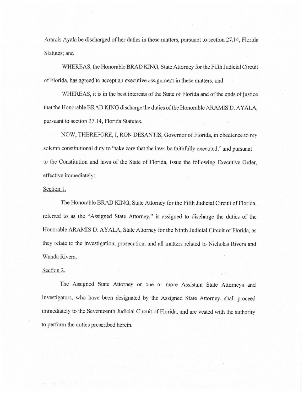Aramis Ayala be discharged of her duties in these matters, pursuant to section 27.14, Florida Statutes; and

WHEREAS, the Honorable BRAD KING, State Attorney for the Fifth Judicial Circuit of Florida, has agreed to accept an executive assignment in these matters; and

WHEREAS, it is in the best interests of the State of Florida and of the ends of justice that the Honorable BRAD KING discharge the duties of the Honorable ARAMIS D. AYALA, pursuant to section 27.14, Florida Statutes.

NOW, THEREFORE, I, RON DESANTIS, Governor of Florida, in obedience to my solemn constitutional duty to "take care that the laws be faithfully executed." and pursuant to the Constitution and laws of the State of Florida, issue the following Executive Order, effective immediately:

## Section 1.

The Honorable BRAD KING, State Attorney for the Fifth Judicial Circuit of Florida, referred to as the "Assigned State Attorney," is assigned to discharge the duties of the Honorable ARAMIS D. AYALA, State Attorney for the Ninth Judicial Circuit of Florida, as they relate to the investigation, prosecution, and all matters related to Nicholas Rivera and Wanda Rivera,

## Section 2.

The Assigned State Attorney or one or more Assistant State Attorneys and Investigators, who have been designated by the Assigned State Attorney, shall proceed immediately to the Seventeenth Judicial Circuit of Florida, and are vested with the authority to perfonn the duties prescribed herein.